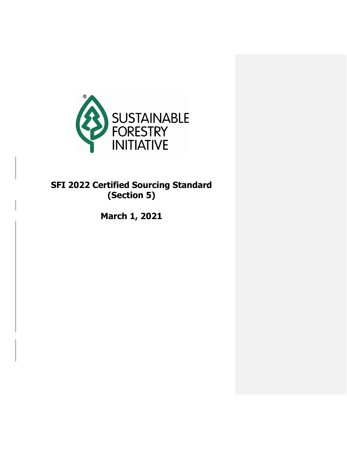

# **SFI 2022 Certified Sourcing Standard (Section 5)**

**March 1, 2021**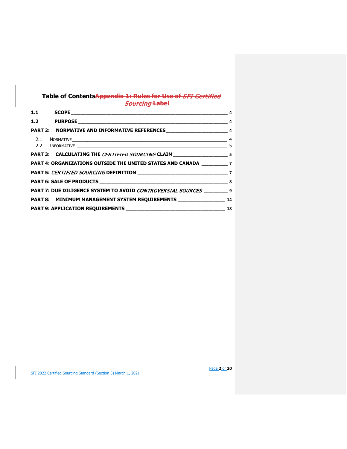# **Table of ContentsAppendix 1: Rules for Use of** SFI Certified Sourcing **Label**

| PART 2: NORMATIVE AND INFORMATIVE REFERENCES_______________________________ 4 |  |
|-------------------------------------------------------------------------------|--|
|                                                                               |  |
|                                                                               |  |
| PART 4: ORGANIZATIONS OUTSIDE THE UNITED STATES AND CANADA ____________ 7     |  |
|                                                                               |  |
|                                                                               |  |
| PART 7: DUE DILIGENCE SYSTEM TO AVOID CONTROVERSIAL SOURCES 9                 |  |
| PART 8: MINIMUM MANAGEMENT SYSTEM REQUIREMENTS ___________________ 14         |  |
|                                                                               |  |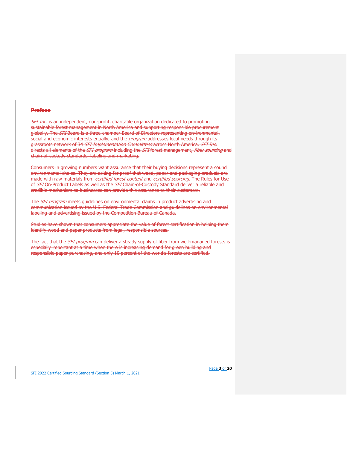#### **Preface**

**SFI Inc. is an independent, non-profit, charitable organization dedicated to promoting** sustainable forest management in North America and supporting responsible procurement globally. The SFI Board is a three chamber Board of Directors representing environmental, social and economic interests equally, and the *program* addresses local needs through its grassroots network of 34 SFI Implementation Committees across North America. SFI Inc. directs all elements of the *SFI program* including the *SFI* forest management, *fiber sourcing* and chain-of-custody standards, labeling and marketing.

Consumers in growing numbers want assurance that their buying decisions represent a sound environmental choice. They are asking for proof that wood, paper and packaging products are made with raw materials from *certified forest content* and *certified sourcing*. The Rules for Use of SFI On-Product Labels as well as the SFI Chain-of-Custody Standard deliver a reliable and credible mechanism so businesses can provide this assurance to their customers.

The *SFI program* meets guidelines on environmental claims in product advertising and communication issued by the U.S. Federal Trade Commission and guidelines on environmental labeling and advertising issued by the Competition Bureau of Canada.

Studies have shown that consumers appreciate the value of forest certification in helping them identify wood and paper products from legal, responsible sources.

The fact that the SFI program can deliver a steady supply of fiber from well-managed forests is especially important at a time when there is increasing demand for green building and responsible paper purchasing, and only 10 percent of the world's forests are certified.

SFI 2022 Certified Sourcing Standard (Section 5) March 1, 2021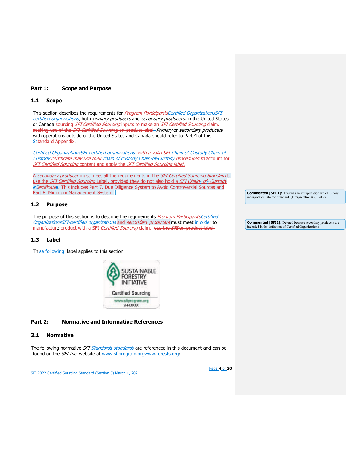## **Part 1: Scope and Purpose**

## <span id="page-3-0"></span>**1.1 Scope**

This section describes the requirements for Program ParticipantsCertified OrganizationsSFIcertified organizations, both primary producers and secondary producers, in the United States or Canada sourcing SFI Certified Sourcing inputs to make an SFI Certified Sourcing claim. seeking use of the SFI Certified Sourcing on-product label. Primary or secondary producers with operations outside of the United States and Canada should refer to Part 4 of this **Sstandard Appendix.** 

Certified OrganizationsSFI-certified organizations - with a valid SFI Chain of Custody Chain-of-Custody certificate may use their chain of custody Chain-of-Custody procedures to account for SFI Certified Sourcing content and apply the SFI Certified Sourcing label.

A secondary producer must meet all the requirements in the SFI Certified Sourcing Standard to use the SFI Certified Sourcing Label, provided they do not also hold a SFI Chain-of-Custody cCertificates. This includes Part 7. Due Diligence System to Avoid Controversial Sources and Part 8. Minimum Management System.

## <span id="page-3-1"></span>**1.2 Purpose**

The purpose of this section is to describe the requirements Program ParticipantsCertified OrganizationsSFI-certified organizations and secondary producers must meet in order to manufacture product with a SFI Certified Sourcing claim. use the SFI on-product label.

## **1.3 Label**

Thise following label applies to this section.



## <span id="page-3-2"></span>**Part 2: Normative and Informative References**

## <span id="page-3-3"></span>**2.1 Normative**

The following normative *SFI <del>Standards</del> standards* are referenced in this document and can be found on the *SFI Inc.* website at [www.sfiprogram.orgwww.forests.org:](http://www.forests.org/)

SFI 2022 Certified Sourcing Standard (Section 5) March 1, 2021

**Commented [SFI 1]:** This was an interpretation which is now incorporated into the Standard. (Interpretation #3, Part 2).

**Commented [SFI2]:** Deleted because secondary producers are included in the definition of Certified Organization

Page **4** of **20**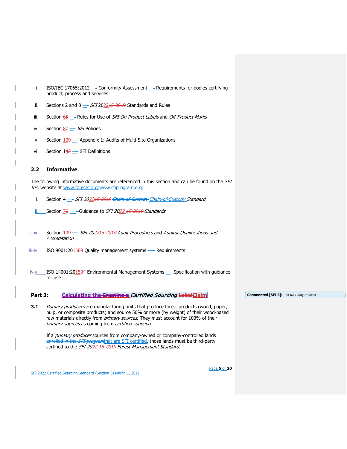<span id="page-4-0"></span>

| j.                 | ISO/IEC 17065:2012 - Conformity Assessment - Requirements for bodies certifying<br>product, process and services                                                                                                                                                                                                      |                                                       |
|--------------------|-----------------------------------------------------------------------------------------------------------------------------------------------------------------------------------------------------------------------------------------------------------------------------------------------------------------------|-------------------------------------------------------|
| ii.                | Sections 2 and 3 $-$ SFI 202215 2019 Standards and Rules                                                                                                                                                                                                                                                              |                                                       |
| iii.               | Section 65 - Rules for Use of SFI On-Product Labels and Off-Product Marks                                                                                                                                                                                                                                             |                                                       |
| iv.                | Section $\underline{87}$ = SFI Policies                                                                                                                                                                                                                                                                               |                                                       |
| ν.                 | Section 109 - Appendix 1: Audits of Multi-Site Organizations                                                                                                                                                                                                                                                          |                                                       |
| vi.                | Section $143$ - SFI Definitions                                                                                                                                                                                                                                                                                       |                                                       |
| 2.2                | <b>Informative</b>                                                                                                                                                                                                                                                                                                    |                                                       |
|                    | The following informative documents are referenced in this section and can be found on the SFI<br>Inc. website at www.forests.org:www.sfiprogram.org:                                                                                                                                                                 |                                                       |
| i.                 | Section 4 - SFI 202215 2019 Chain of Custody Chain-of-Custody Standard                                                                                                                                                                                                                                                |                                                       |
| ii.                | Section 76 - Guidance to SFI 2022 15 2019 Standards                                                                                                                                                                                                                                                                   |                                                       |
|                    |                                                                                                                                                                                                                                                                                                                       |                                                       |
| ₩iii.              | Section 109 - SFI 202215 2019 Audit Procedures and Auditor Qualifications and<br>Accreditation                                                                                                                                                                                                                        |                                                       |
| <del>iii</del> iv. | ISO 9001:201508 Quality management systems - Requirements                                                                                                                                                                                                                                                             |                                                       |
|                    |                                                                                                                                                                                                                                                                                                                       |                                                       |
| i <del>v.</del> v. | ISO 14001:201504 Environmental Management Systems - Specification with guidance<br>for use                                                                                                                                                                                                                            |                                                       |
|                    |                                                                                                                                                                                                                                                                                                                       |                                                       |
| Part 3:            | <b>Calculating the Creating a Certified Sourcing LabelClaim</b>                                                                                                                                                                                                                                                       | <b>Commented [SFI 3]:</b> Edit for clarity of intent. |
| 3.1                | Primary producers are manufacturing units that produce forest products (wood, paper,<br>pulp, or composite products) and source 50% or more (by weight) of their wood-based<br>raw materials directly from primary sources. They must account for 100% of their<br>primary sources as coming from certified sourcing. |                                                       |
|                    | If a <i>primary producer</i> sources from company-owned or company-controlled lands                                                                                                                                                                                                                                   |                                                       |

SFI 2022 Certified Sourcing Standard (Section 5) March 1, 2021

<span id="page-4-1"></span>e<del>nrolled in the *SFI program*that are SFI certified</del>, those lands must be third-party

certified to the *SFI 20<u>22</u> 15-2019 Forest Management Standard*.

Page **5** of **20**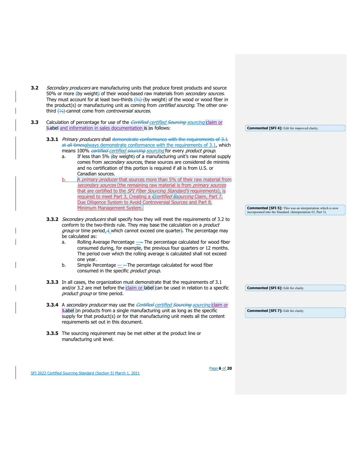| 3.2 | Secondary producers are manufacturing units that produce forest products and source<br>50% or more (by weight) of their wood-based raw materials from secondary sources.<br>They must account for at least two-thirds $\frac{2}{3}$ (by weight) of the wood or wood fiber in<br>the product(s) or manufacturing unit as coming from certified sourcing. The other one-<br>third (1/3) cannot come from <i>controversial sources</i> .                                                                                                                                                                                                                                   |                                                                                                                                   |
|-----|-------------------------------------------------------------------------------------------------------------------------------------------------------------------------------------------------------------------------------------------------------------------------------------------------------------------------------------------------------------------------------------------------------------------------------------------------------------------------------------------------------------------------------------------------------------------------------------------------------------------------------------------------------------------------|-----------------------------------------------------------------------------------------------------------------------------------|
| 3.3 | Calculation of percentage for use of the <i>Certified-certified Sourcing claim</i> or<br><b>Label and information in sales documentation is as follows:</b>                                                                                                                                                                                                                                                                                                                                                                                                                                                                                                             | <b>Commented [SFI 4]:</b> Edit for improved clarity.                                                                              |
|     | <b>3.3.1</b> Primary producers shall demonstrate conformance with the requirements of 3.1<br>at all timesalways demonstrate conformance with the requirements of 3.1, which<br>means 100% certified certified sourcing sourcing for every product group.<br>If less than 5% (by weight) of a manufacturing unit's raw material supply<br>a.<br>comes from secondary sources, these sources are considered de minimis<br>and no certification of this portion is required if all is from U.S. or<br>Canadian sources.<br>A primary producer that sources more than 5% of their raw material from<br>b.                                                                   |                                                                                                                                   |
|     | secondary sources (the remaining raw material is from primary sources<br>that are certified to the <i>SFI Fiber Sourcing Standard's</i> requirements), is<br>required to meet Part 3, Creating a <i>Ecertified Ssourcing</i> Claim, Part 7.<br>Due Diligence System to Avoid Controversial Sources and Part 8.<br>Minimum Management System.                                                                                                                                                                                                                                                                                                                            | <b>Commented [SFI 5]:</b> This was an interpretation which is now<br>incorporated into the Standard. (Interpretation #2, Part 3). |
|     | 3.3.2 Secondary producers shall specify how they will meet the requirements of 3.2 to<br>conform to the two-thirds rule. They may base the calculation on a <i>product</i><br><i>group</i> or time period $\leftarrow$ which cannot exceed one quarter. The percentage may<br>be calculated as:<br>Rolling Average Percentage - The percentage calculated for wood fiber<br>a.<br>consumed during, for example, the previous four quarters or 12 months.<br>The period over which the rolling average is calculated shall not exceed<br>one year.<br>b.<br>Simple Percentage $\_\_$ The percentage calculated for wood fiber<br>consumed in the specific product group. |                                                                                                                                   |
|     | <b>3.3.3</b> In all cases, the organization must demonstrate that the requirements of 3.1<br>and/or 3.2 are met before the claim or label can be used in relation to a specific<br>product group or time period.                                                                                                                                                                                                                                                                                                                                                                                                                                                        | <b>Commented [SFI 6]:</b> Edit for clarity                                                                                        |
|     | 3.3.4 A secondary producer may use the Certified certified Sourcing sourcing claim or<br>Label on products from a single manufacturing unit as long as the specific<br>supply for that product(s) or for that manufacturing unit meets all the content<br>requirements set out in this document.                                                                                                                                                                                                                                                                                                                                                                        | <b>Commented [SFI 7]: Edit for clarity</b>                                                                                        |
|     | 3.3.5 The sourcing requirement may be met either at the product line or<br>manufacturing unit level.                                                                                                                                                                                                                                                                                                                                                                                                                                                                                                                                                                    |                                                                                                                                   |

Page **6** of **20**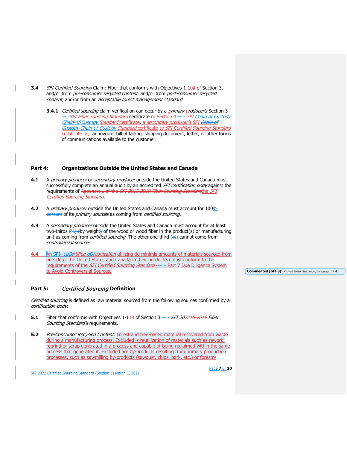- **3.4** SFI Certified Sourcing Claim: Fiber that conforms with Objectives 1-103 of Section 3, and/or from pre-consumer recycled content, and/or from post-consumer recycled content, and/or from an acceptable forest management standard.
	- **3.4.1** Certified sourcing claim verification can occur by a *primary producer's* Section 3 — -*SFI Fiber Sourcing Standard* certificate or Section 4 — - *SFI <del>Chain of Custody</del>* Chain-of-Custody Standard certificate, a secondary producer's SFI Chain of Custody Chain-of-Custody Standard certificate or SFI Certified Sourcing Standard certificate or, -an invoice, bill of lading, shipping document, letter, or other forms of communications available to the customer.

## <span id="page-6-0"></span>**Part 4: Organizations Outside the United States and Canada**

- **4.1** A primary producer or secondary producer outside the United States and Canada must successfully complete an annual audit by an accredited *SFI certification body* against the requirements of Appendix 1 of the SFI 2015-2019 Fiber Sourcing Standardthe SFI Certified Sourcing Standard.
- **4.2** A primary producer outside the United States and Canada must account for 100% percent of its *primary sources* as coming from *certified sourcing*.
- **4.3** A secondary producer outside the United States and Canada must account for at least two-thirds (₹) (by weight) of the wood or wood fiber in the product(s) or manufacturing unit as coming from *certified sourcing*. The other one-third <del>(¼)</del> cannot come from controversial sources.
- **4.4** An SFI-ceCertified oOrganization utilizing de minimis amounts of materials sourced from outside of the United States and Canada in their product(s) must conform to the requirements of the *SFI Certified Sourcing Standard* - - Part 7 Due Diligence System to Avoid Controversial Sources.

## <span id="page-6-1"></span>**Part 5:** Certified Sourcing **Definition**

Certified sourcing is defined as raw material sourced from the following sources confirmed by a certification body:

- **5.1** Fiber that conforms with Objectives 1-113 of Section 3 SFI 202215-2019 Fiber Sourcing Standard's requirements.
- **5.2** Pre-Consumer Recycled Content: Forest and tree-based material recovered from waste during a manufacturing process. Excluded is reutilization of materials such as rework, regrind or scrap generated in a process and capable of being reclaimed within the same process that generated it. Excluded are by-products resulting from primary production processes, such as sawmilling by-products (sawdust, chips, bark, etc.) or forestry

Page **7** of **20**

SFI 2022 Certified Sourcing Standard (Section 5) March 1, 2021

**Commented [SFI 8]:** Moved from Guidance, paragraph 14.4.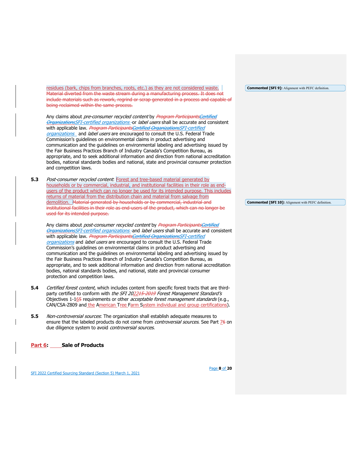residues (bark, chips from branches, roots, etc.) as they are not considered waste. Material diverted from the waste stream during a manufacturing process. It does not include materials such as rework, regrind or scrap generated in a process and capable of being reclaimed within the same process.

Any claims about pre-consumer recycled content by Program ParticipantsCertified OrganizationsSFI-certified organizations - or label users shall be accurate and consistent with applicable law. Program ParticipantsCertified OrganizationsSFI-certified organizations and label users are encouraged to consult the U.S. Federal Trade Commission's guidelines on environmental claims in product advertising and communication and the guidelines on environmental labeling and advertising issued by the Fair Business Practices Branch of Industry Canada's Competition Bureau, as appropriate, and to seek additional information and direction from national accreditation bodies, national standards bodies and national, state and provincial consumer protection and competition laws.

**5.3** Post-consumer recycled content: Forest and tree-based material generated by households or by commercial, industrial, and institutional facilities in their role as endusers of the product which can no longer be used for its intended purpose. This includes returns of material from the distribution chain and material from salvage from demolition. Material generated by households or by commercial, industrial and institutional facilities in their role as end-users of the product, which can no longer be used for its intended purpose.

Any claims about *post-consumer recycled content* by Program ParticipantsCertified OrganizationsSFI-certified organizations-and label users shall be accurate and consistent with applicable law. Program ParticipantsCertified OrganizationsSFI-certified organizations and label users are encouraged to consult the U.S. Federal Trade Commission's guidelines on environmental claims in product advertising and communication and the guidelines on environmental labeling and advertising issued by the Fair Business Practices Branch of Industry Canada's Competition Bureau, as appropriate, and to seek additional information and direction from national accreditation bodies, national standards bodies, and national, state and provincial consumer protection and competition laws.

- **5.4** Certified forest content, which includes content from specific forest tracts that are thirdparty certified to conform with the SFI 202215-2019 Forest Management Standard's Objectives  $1-165$  requirements or other *acceptable forest management standards* (e.g., CAN/CSA-Z809 and the American Tree Farm System individual and group certifications).
- **5.5** Non-controversial sources: The organization shall establish adequate measures to ensure that the labeled products do not come from *controversial sources*. See Part 76 on due diligence system to avoid controversial sources.

<span id="page-7-0"></span>**Part 6: Sale of Products**

SFI 2022 Certified Sourcing Standard (Section 5) March 1, 2021

**Commented [SFI 9]:** Alignment with PEFC definition.

**Commented [SFI 10]:** Alignment with PEFC definition.

Page **8** of **20**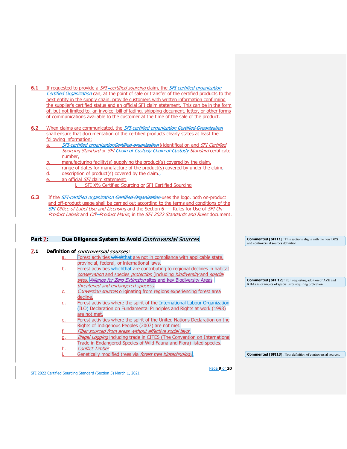- **6.1** If requested to provide a *SFI-certified sourcing* claim, the *SFI-certified organization* Certified Organization can, at the point of sale or transfer of the certified products to the next entity in the supply chain, provide customers with written information confirming the supplier's certified status and an official SFI claim statement. This can be in the form of, but not limited to, an invoice, bill of lading, shipping document, letter, or other forms of communications available to the customer at the time of the sale of the product.
- **6.2** When claims are communicated, the SFI-certified organization Certified Organization shall ensure that documentation of the certified products clearly states at least the following information:
	- a. SFI-certified organization<del>Certified organization</del>'s identification and SFI Certified Sourcing Standard or SFI Chain of Custody Chain-of-Custody Standard certificate number,
	- b. manufacturing facility(s) supplying the product(s) covered by the claim,
	- c. range of dates for manufacture of the product(s) covered by under the claim,
	- d. description of product(s) covered by the claim.,
	- e. an official SFI claim statement:
		- i. SFI X% Certified Sourcing or SFI Certified Sourcing
- **6.3** If the *SFI-certified organization <del>Certified Organization</del> uses the logo, both on-product* and off-product usage shall be carried out according to the terms and conditions of the SFI Office of Label Use and Licensing and the Section 6 - Rules for Use of SFI On-Product Labels and Off--Product Marks, in the SFI 2022 Standards and Rules document.

## <span id="page-8-0"></span>Part 7: Due Diligence System to Avoid *Controversial Sources*

#### **7.1 Definition of** controversial sources: Forest activities whichthat are not in compliance with applicable state, provincial, federal, or international laws. Forest activities whichthat are contributing to regional declines in habitat conservation and species protection (including biodiversity and special sites, Alliance for Zero Extinction sites and key Biodiversity Areas threatened and endangered species). Conversion sources originating from regions experiencing forest area decline. Forest activities where the spirit of the International Labour Organization (ILO) Declaration on Fundamental Principles and Rights at work (1998) are not met. Forest activities where the spirit of the United Nations Declaration on the Rights of Indigenous Peoples (2007) are not met. Fiber sourced from areas without effective social laws. Illegal Logging including trade in CITES (The Convention on International Trade in Endangered Species of Wild Fauna and Flora) listed species. **Conflict Timber** Genetically modified trees via forest tree biotechnology. **Commented [SFI 12]:** Edit requesting addition of AZE and KBAs as examples of special sites requiring protection. **Commented [SFI13]:** New definition of controversial sources.

SFI 2022 Certified Sourcing Standard (Section 5) March 1, 2021

Page **9** of **20**

**Commented [SFI11]:** This sections aligns with the new DDS

and controversial sources definition.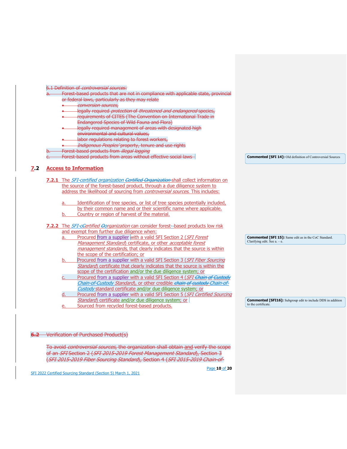| 6.1 Definition of <i>controversial sources:</i>                                                  |                                                                    |
|--------------------------------------------------------------------------------------------------|--------------------------------------------------------------------|
| Forest based products that are not in compliance with applicable state, provincial               |                                                                    |
| or federal laws, particularly as they may relate                                                 |                                                                    |
| conversion sources.                                                                              |                                                                    |
| legally required <i>protection</i> of threatened and endangered species,                         |                                                                    |
| requirements of CITES (The Convention on International Trade in                                  |                                                                    |
| Endangered Species of Wild Fauna and Flora)                                                      |                                                                    |
| legally required management of areas with designated high                                        |                                                                    |
| environmental and cultural values,                                                               |                                                                    |
|                                                                                                  |                                                                    |
| labor regulations relating to forest workers,                                                    |                                                                    |
| Indigenous Peoples' property, tenure and use rights                                              |                                                                    |
| Forest based products from illegal logging                                                       |                                                                    |
| Forest based products from areas without effective social laws                                   | <b>Commented [SFI 14]:</b> Old definition of Controversial Sources |
|                                                                                                  |                                                                    |
| <b>Access to Information</b>                                                                     |                                                                    |
|                                                                                                  |                                                                    |
| 7.2.1 The SFI-certified organization Certified Organization shall collect information on         |                                                                    |
| the source of the forest-based product, through a due diligence system to                        |                                                                    |
| address the likelihood of sourcing from <i>controversial sources</i> . This includes:            |                                                                    |
| Identification of tree species, or list of tree species potentially included,<br>a.              |                                                                    |
| by their common name and or their scientific name where applicable.                              |                                                                    |
| Country or region of harvest of the material.<br>b.                                              |                                                                    |
|                                                                                                  |                                                                    |
| <b>7.2.2</b> The <i>SFI-ceertified Oorganization</i> can consider forest-based products low risk |                                                                    |
| and exempt from further due diligence when:                                                      |                                                                    |
| Procured from a supplier with a valid SFI Section 2 (SFI Forest<br>a.                            | <b>Commented [SFI 15]:</b> Same edit as in the CoC Standard.       |
| Management Standard) certificate, or other acceptable forest                                     | Clarifying edit. See $a - e$ .                                     |
| management standards, that clearly indicates that the source is within                           |                                                                    |
| the scope of the certification; or                                                               |                                                                    |
| Procured from a supplier with a valid SFI Section 3 (SFI Fiber Sourcing<br>b.                    |                                                                    |
|                                                                                                  |                                                                    |
| Standard) certificate that clearly indicates that the source is within the                       |                                                                    |
| scope of the certification and/or the due diligence system; or                                   |                                                                    |
| Procured from a supplier with a valid SFI Section 4 (SFI Chain of Custody                        |                                                                    |
| Chain-of-Custody Standard), or other credible chain of custody-Chain-of-                         |                                                                    |
| Custody standard certificate and/or due diligence system; or                                     |                                                                    |
| d<br>Procured from a supplier with a valid SFI Section 5 (SFI Certified Sourcing                 |                                                                    |
| Standard) certificate and/or due diligence system; or                                            | <b>Commented [SFI16]:</b> Subgroup edit to include DDS in addition |
| Sourced from recycled forest-based products.                                                     | to the certificate.                                                |
|                                                                                                  |                                                                    |

## **6.2** Verification of Purchased Product(s)

To avoid *controversial sources,* the organization shall obtain <u>and</u> verify the scope ( of an *SFI* Section 2 (*SFI 2015-2019 Forest Management Standard*), Section 3 (SFI 2015-2019 Fiber Sourcing Standard), Section 4 (SFI 2015-2019 Chain-of-

Page **10** of **20**

SFI 2022 Certified Sourcing Standard (Section 5) March 1, 2021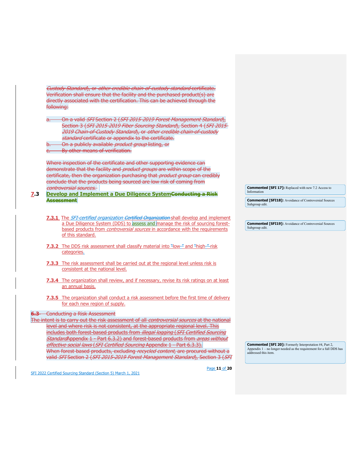Custody Standard), or other credible chain-of-custody standard certificate. Verification shall ensure that the facility and the purchased product(s) are directly associated with the certification. This can be achieved through the following:

On a valid SFI Section 2 (SFI 2015-2019 Forest Management Standard), Section 3 (SFI 2015-2019 Fiber Sourcing Standard), Section 4 (SFI 2015-2019 Chain-of-Custody Standard), or other credible chain-of-custody standard certificate or appendix to the certificate.

- On a publicly available *product group* listing, or
- By other means of verification.

Where inspection of the certificate and other supporting evidence can demonstrate that the facility and *product groups* are within scope of the certificate, then the organization purchasing that *product group* can credibly conclude that the products being sourced are low risk of coming from controversial sources.

- **7.3** Develop and Implement a Due Diligence SystemConducting a Risk **Assessment**
	- **7.3.1** The SFI-certified organization Certified Organization shall develop and implement a Due Diligence System (DDS) to assess and manage the risk of sourcing forest based products from *controversial sources* in accordance with the requirements of this standard.
	- **7.3.2** The DDS risk assessment shall classify material into "low-" and "high-" risk categories.
	- **7.3.3** The risk assessment shall be carried out at the regional level unless risk is consistent at the national level.
	- **7.3.4** The organization shall review, and if necessary, revise its risk ratings on at least an annual basis.
	- **7.3.5** The organization shall conduct a risk assessment before the first time of delivery for each new region of supply.

#### **6.3** Conducting a Risk Assessment

SFI 2022 Certified Sourcing Standard (Section 5) March 1, 2021

The intent is to carry out the risk assessment of all controversial sources at the national level and where risk is not consistent, at the appropriate regional level. This includes both forest-based products from *illegal logging (SFI Certified Sourcing* StandardAppendix 1 - Part 6.3.2) and forest-based products from areas without effective social laws (SFI Certified Sourcing Appendix 1 - Part 6.3.3). When forest-based products, excluding *recycled content*, are procured without a valid SFI Section 2 (SFI 2015-2019 Forest Management Standard), Section 3 (SFI

**Commented [SFI 20]:** Formerly Interpretation #4, Part 2, Appendix 1 – no longer needed as the requirement for a full DDS has addressed this item.

Page **11** of **20**

**Commented [SFI 17]:** Replaced with new 7.2 Access to Information

**Commented [SFI18]:** Avoidance of Controversial Sources Subgroup edit.

**Commented [SFI19]:** Avoidance of Controversial Sources Subgroup edit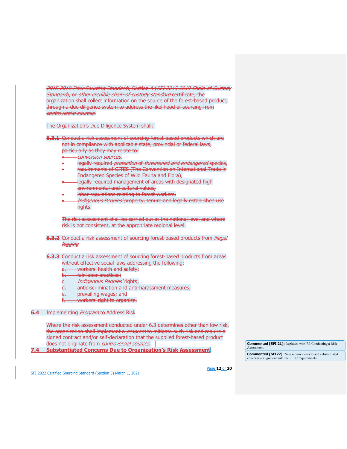2015-2019 Fiber Sourcing Standard), Section 4 (SFI 2015-2019 Chain-of-Custody Standard), or other credible chain-of-custody standard certificate, the organization shall collect information on the source of the forest-based product, through a due diligence system to address the likelihood of sourcing from controversial sources.

The Organization's Due Diligence System shall:

- **6.3.1** Conduct a risk assessment of sourcing forest-based products which are not in compliance with applicable state, provincial or federal laws, particularly as they may relate to:
	- conversion sources,
	- -legally required *protection* of *threatened and endangered* species,
	- requirements of CITES (The Convention on International Trade in Endangered Species of Wild Fauna and Flora),
	- **•** legally required management of areas with designated high environmental and cultural values,
	- labor regulations relating to forest workers,
	- *Indigenous Peoples'* property, tenure and legally established use rights.

The risk assessment shall be carried out at the national level and where risk is not consistent, at the appropriate regional level.

- **6.3.2** Conduct a risk assessment of sourcing forest based products from *illegal* logging
- **6.3.3** Conduct a risk assessment of sourcing forest-based products from areas without effective social laws addressing the following:
	- a. workers' health and safety;
	- b. fair labor practices:
	- *Indigenous Peoples'* **rights;**
	- antidiscrimination and anti-harassment measures;
	- **e.** prevailing wages; and
	- f. workers' right to organize.

**6.4** Implementing Program to Address Risk

Where the risk assessment conducted under 6.3 determines other than low risk, the organization shall implement a *program* to mitigate such risk and require a signed contract and/or self-declaration that the supplied forest-based product does not originate from controversial sources.

**7.4 Substantiated Concerns Due to Organization's Risk Assessment**

**Commented [SFI 21]:** Replaced with 7.3 Conducting a Risk **Assessment** 

**Commented [SFI22]:** New requirements to add substantiated concerns – alignment with the PEFC requirements.

SFI 2022 Certified Sourcing Standard (Section 5) March 1, 2021

Page **12** of **20**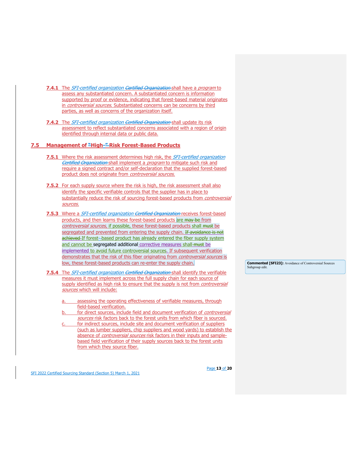- **7.4.1** The SFI-certified organization Certified Organization shall have a program to assess any substantiated concern. A substantiated concern is information supported by proof or evidence, indicating that forest-based material originates in *controversial sources*. Substantiated concerns can be concerns by third parties, as well as concerns of the organization itself.
- **7.4.2** The SFI-certified organization Certified Organization shall update its risk assessment to reflect substantiated concerns associated with a region of origin identified through internal data or public data.

## **7.5 Management of "High-" Risk Forest-Based Products**

- **7.5.1** Where the risk assessment determines high risk, the *SFI-certified organization* Certified Organization shall implement a program to mitigate such risk and require a signed contract and/or self-declaration that the supplied forest-based product does not originate from controversial sources.
- **7.5.2** For each supply source where the risk is high, the risk assessment shall also identify the specific verifiable controls that the supplier has in place to substantially reduce the risk of sourcing forest-based products from *controversial* sources.
- **7.5.3** Where a *SFI-certified organization <del>Certified Organization</del> receives forest-based* products, and then learns these forest-based products are may be from controversial sources, if possible, these forest-based products shall must be segregated and prevented from entering the supply chain. If avoidance is not achieved If forest--based product has already entered the fiber supply system and cannot be segregated additional corrective measures shall must be implemented to avoid future controversial sources. If subsequent verification demonstrates that the risk of this fiber originating from *controversial sources* is low, these forest-based products can re-enter the supply chain.
- **7.5.4** The *SFI-certified organization <del>Certified Organization</del> shall identify the verifiable* measures it must implement across the full supply chain for each source of supply identified as high risk to ensure that the supply is not from controversial sources which will include:
	- assessing the operating effectiveness of verifiable measures, through field-based verification.
	- for direct sources, include field and document verification of *controversial* sources risk factors back to the forest units from which fiber is sourced.
	- for indirect sources, include site and document verification of suppliers (such as lumber suppliers, chip suppliers and wood yards) to establish the absence of *controversial sources* risk factors in their inputs and samplebased field verification of their supply sources back to the forest units from which they source fiber.

SFI 2022 Certified Sourcing Standard (Section 5) March 1, 2021

Page **13** of **20**

**Commented [SFI23]:** Avoidance of Controversial Sources Subgroup edit.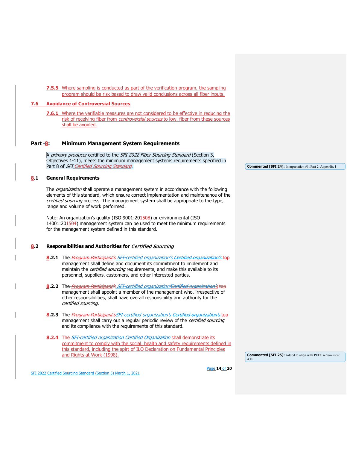**7.5.5** Where sampling is conducted as part of the verification program, the sampling program should be risk based to draw valid conclusions across all fiber inputs.

## **7.6 Avoidance of Controversial Sources**

**7.6.1** Where the verifiable measures are not considered to be effective in reducing the risk of receiving fiber from controversial sources to low, fiber from these sources shall be avoided.

## <span id="page-13-0"></span>Part -8: Minimum Management System Requirements

A primary producer certified to the SFI 2022 Fiber Sourcing Standard (Section 3, Objectives 1-11), meets the minimum management systems requirements specified in Part 8 of SFI Certified Sourcing Standard.

#### **8.1 General Requirements**

The *organization* shall operate a management system in accordance with the following elements of this standard, which ensure correct implementation and maintenance of the certified sourcing process. The management system shall be appropriate to the type, range and volume of work performed.

Note: An organization's quality (ISO 9001:201508) or environmental (ISO 14001:201504) management system can be used to meet the minimum requirements for the management system defined in this standard.

## **8.2 Responsibilities and Authorities for Certified Sourcing**

- **8.2.1** The Program Participant's SFI-certified organization's Certified organization's top management shall define and document its commitment to implement and maintain the *certified sourcing* requirements, and make this available to its personnel, suppliers, customers, and other interested parties.
- **8.2.2** The *Program Participant's SFI-certified organization'Certified organization's* top management shall appoint a member of the management who, irrespective of other responsibilities, shall have overall responsibility and authority for the certified sourcing.
- 8.2.3 The *Program Participant'sSFI-certified organization's Certified organization's* top management shall carry out a regular periodic review of the *certified sourcing* and its compliance with the requirements of this standard.
- **8.2.4** The *SFI-certified organization <del>Certified Organization</del> shall demonstrate its* commitment to comply with the social, health and safety requirements defined in this standard, including the spirt of ILO Declaration on Fundamental Principles and Rights at Work (1998).

**Commented [SFI 25]:** Added to align with PEFC requirement 4.10

SFI 2022 Certified Sourcing Standard (Section 5) March 1, 2021

Page **14** of **20**

**Commented [SFI 24]:** Interpretation #1, Part 2, Appendix 1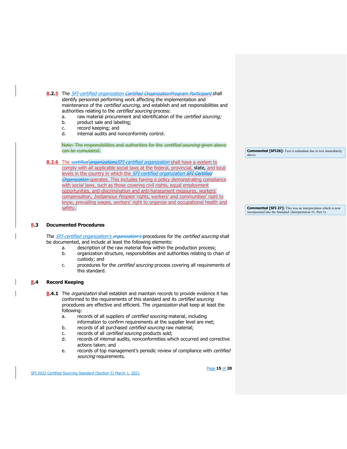8.2.5 The *SFI-certified organization <del>Certified OrganizationProgram Participant</del> shall* identify personnel performing work affecting the implementation and maintenance of the *certified sourcing*, and establish and set responsibilities and

- authorities relating to the *certified sourcing* process:
- a. raw material procurement and identification of the *certified sourcing;*
- b. product sale and labeling;
- c. record keeping; and<br>d. internal audits and n
- internal audits and nonconformity control.

Note: The responsibilities and authorities for the *certified sourcing* given above can be cumulated.

8.2.6 The certified organizations SFI-certified organization shall have a system to comply with all applicable social laws at the federal, provincial, state, and local levels in the country in which the *SFI-certified organization <del>SFI Certified</del>* **Organization operates.** This includes having a policy demonstrating compliance with social laws, such as those covering civil rights, equal employment opportunities, anti-discrimination and anti-harassment measures, workers' compensation, Indigenous Peoples' rights, workers' and communities' right to know, prevailing wages, workers' right to organize and occupational health and safety.

**Commented [SFI26]:** Text is redundant due to text immediately above.

**Commented [SFI 27]:** This was an interpretation which is now incorporated into the Standard. (Interpretation #1, Part 3).

#### **8.3 Documented Procedures**

The SFI-certified organization's organization's procedures for the certified sourcing shall be documented, and include at least the following elements:

- a. description of the raw material flow within the production process;<br>b. craanization structure, responsibilities and authorities relating to ch
- organization structure, responsibilities and authorities relating to chain of custody; and
- c. procedures for the *certified sourcing* process covering all requirements of this standard.

#### **8.4 Record Keeping**

- 8.4.1 The *organization* shall establish and maintain records to provide evidence it has conformed to the requirements of this standard and its certified sourcing procedures are effective and efficient. The *organization* shall keep at least the following:
	- a. records of all suppliers of certified sourcing material, including information to confirm requirements at the supplier level are met;
	- b. records of all purchased certified sourcing raw material;
	- c. records of all *certified sourcing* products sold;<br>d. records of internal audits, nonconformities wh
	- records of internal audits, nonconformities which occurred and corrective actions taken; and
	- e. records of top management's periodic review of compliance with *certified* sourcing requirements.

SFI 2022 Certified Sourcing Standard (Section 5) March 1, 2021

Page **15** of **20**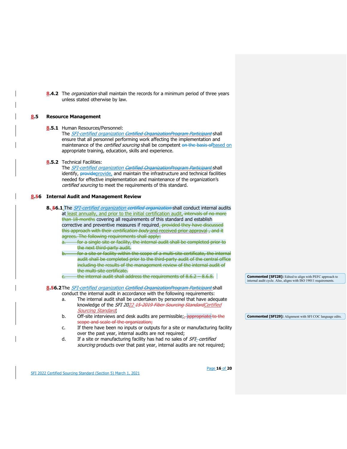**8.4.2** The organization shall maintain the records for a minimum period of three years unless stated otherwise by law.

#### **8.5 Resource Management**

#### **8.5.1** Human Resources/Personnel:

The SFI-certified organization Certified OrganizationProgram Participant</u> shall ensure that all personnel performing work affecting the implementation and maintenance of the *certified sourcing* shall be competent on the basis of based on appropriate training, education, skills and experience.

#### **8.5.2** Technical Facilities:

The SFI-certified organization Certified OrganizationProgram Participant shall identify, provideprovide, and maintain the infrastructure and technical facilities needed for effective implementation and maintenance of the organization's certified sourcing to meet the requirements of this standard.

## **8.56 Internal Audit and Management Review**

**8. 56.1** The SFI-certified organization certified organization shall conduct internal audits at least annually, and prior to the initial certification audit, intervals of no more than 18 months covering all requirements of this standard and establish corrective and preventive measures if required. provided they have discussed this approach with their *certification body* and received prior approval, and it agrees. The following requirements shall apply: a. for a single site or facility, the internal audit shall be completed prior to the next third-party audit.

- for a site or facility within the scope of a multi-site certificate, the internal audit shall be completed prior to the third-party audit of the central office including the results of the management review of the internal audit of the multi-site certificate.
- the internal audit shall address the requirements of  $8.6.2 8.6.8$ .

8.56.2The *SFI-certified organization <del>Certified OrganizationProgram Participant</del>-shall* 

conduct the internal audit in accordance with the following requirements:

- a. The internal audit shall be undertaken by personnel that have adequate knowledge of the SFI 2022 15-2019 Fiber Sourcing Standard Certified Sourcing Standard;
- b. Off-site interviews and desk audits are permissible;  $\frac{1}{2}$  appropriate to the scope and scale of the organization;
- c. If there have been no inputs or outputs for a site or manufacturing facility over the past year, internal audits are not required;
- d. If a site or manufacturing facility has had no sales of SFI-certified sourcing products over that past year, internal audits are not required;

SFI 2022 Certified Sourcing Standard (Section 5) March 1, 2021

Page **16** of **20**

**Commented [SFI28]:** Edited to align with PEFC approach to internal audit cycle. Also, aligns with ISO 19011 requirements.

**Commented [SFI29]:** Alignment with SFI COC language edits.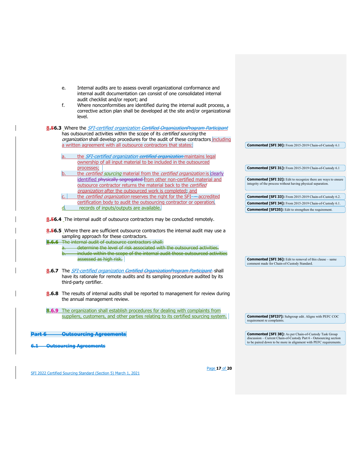| a.         |                        |                                                                                                      | the SFI-certified organization certified organization maintains legal<br>ownership of all input material to be included in the outsourced |                                                                                                                                                                                                                                                     |  |                                                                                                                                  |  |
|------------|------------------------|------------------------------------------------------------------------------------------------------|-------------------------------------------------------------------------------------------------------------------------------------------|-----------------------------------------------------------------------------------------------------------------------------------------------------------------------------------------------------------------------------------------------------|--|----------------------------------------------------------------------------------------------------------------------------------|--|
| b.         | processes;             |                                                                                                      |                                                                                                                                           | the certified sourcing material from the certified organization is clearly<br>identified physically segregated from other non-certified material and                                                                                                |  | Commented [SFI 31]: From 2015-2019 Chain-of-Custody 6.1<br><b>Commented [SFI 32]:</b> Edit to recognize there are ways to ensure |  |
|            |                        |                                                                                                      | outsource contractor returns the material back to the certified<br>organization after the outsourced work is completed; and               |                                                                                                                                                                                                                                                     |  | integrity of the process without having physical separation.                                                                     |  |
|            |                        |                                                                                                      | certification body to audit the outsourcing contractor or operation                                                                       | the certified organization reserves the right for the SFI--accredited                                                                                                                                                                               |  | Commented [SFI 33]: From 2015-2019 Chain-of-Custody 6.2.                                                                         |  |
|            |                        |                                                                                                      |                                                                                                                                           |                                                                                                                                                                                                                                                     |  | Commented [SFI 34]: From 2015-2019 Chain-of-Custody 6.1.                                                                         |  |
|            |                        | records of inputs/outputs are available.                                                             | 8.56.4 The internal audit of outsource contractors may be conducted remotely.                                                             |                                                                                                                                                                                                                                                     |  | <b>Commented [SFI35]:</b> Edit to strengthen the requirement.                                                                    |  |
| $a-$<br>b. | assessed as high risk. | sampling approach for these contractors.<br>8.6.6 The internal audit of outsource contractors shall: |                                                                                                                                           | <b>8.56.5</b> Where there are sufficient outsource contractors the internal audit may use a<br>determine the level of risk associated with the outsourced activities.<br>include within the scope of the internal audit those outsourced activities |  | <b>Commented [SFI 36]:</b> Edit to removal of this clause - same                                                                 |  |
|            | third-party certifier. |                                                                                                      |                                                                                                                                           | 8.6.7 The <i>SFI-certified organization <del>Certified OrganizationProgram Participant-</del>shall</i><br>have its rationale for remote audits and its sampling procedure audited by its                                                            |  | comment made for Chain-of-Custody Standard.                                                                                      |  |
|            |                        | the annual management review.                                                                        |                                                                                                                                           | <b>8.6.8</b> The results of internal audits shall be reported to management for review during                                                                                                                                                       |  |                                                                                                                                  |  |
|            |                        |                                                                                                      |                                                                                                                                           |                                                                                                                                                                                                                                                     |  |                                                                                                                                  |  |
|            |                        |                                                                                                      |                                                                                                                                           | <b>8.6.9</b> The organization shall establish procedures for dealing with complaints from                                                                                                                                                           |  |                                                                                                                                  |  |
|            |                        |                                                                                                      |                                                                                                                                           | suppliers, customers, and other parties relating to its certified sourcing system.                                                                                                                                                                  |  | <b>Commented [SFI37]:</b> Subgroup edit. Aligns with PEFC COC<br>requirement re complaints.                                      |  |
|            |                        | <del>Outsourcing Agreements</del>                                                                    |                                                                                                                                           |                                                                                                                                                                                                                                                     |  | <b>Commented [SFI 38]:</b> As per Chain-of-Custody Task Group                                                                    |  |

SFI 2022 Certified Sourcing Standard (Section 5) March 1, 2021

Page **17** of **20**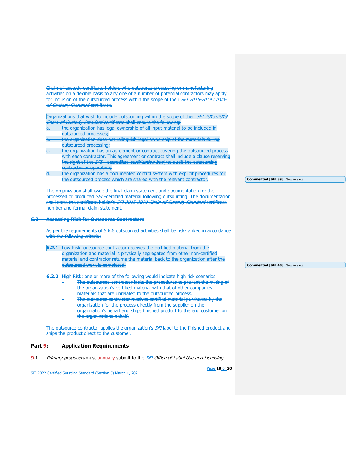|               | Chain-of-custody certificate holders who outsource processing or manufacturing                                                                                                                                                                                             |                                          |
|---------------|----------------------------------------------------------------------------------------------------------------------------------------------------------------------------------------------------------------------------------------------------------------------------|------------------------------------------|
|               | activities on a flexible basis to any one of a number of potential contractors may apply                                                                                                                                                                                   |                                          |
|               | for inclusion of the outsourced process within the scope of their SFI 2015 2019 Chain                                                                                                                                                                                      |                                          |
|               | of Custody Standard certificate.                                                                                                                                                                                                                                           |                                          |
|               | Organizations that wish to include outsourcing within the scope of their SFI 2015 2019                                                                                                                                                                                     |                                          |
|               | Chain-of-Custody Standard certificate shall ensure the following:                                                                                                                                                                                                          |                                          |
| a.            | the organization has legal ownership of all input material to be included in                                                                                                                                                                                               |                                          |
|               | outsourced processes;                                                                                                                                                                                                                                                      |                                          |
|               | the organization does not relinguish legal ownership of the materials during                                                                                                                                                                                               |                                          |
|               | outsourced processing;                                                                                                                                                                                                                                                     |                                          |
|               | the organization has an agreement or contract covering the outsourced process                                                                                                                                                                                              |                                          |
|               | with each contractor. This agreement or contract shall include a clause reserving                                                                                                                                                                                          |                                          |
|               | the right of the SFI accredited certification body to audit the outsourcing                                                                                                                                                                                                |                                          |
|               | contractor or operation;                                                                                                                                                                                                                                                   |                                          |
| <del>d.</del> | the organization has a documented control system with explicit procedures for                                                                                                                                                                                              |                                          |
|               | the outsourced process which are shared with the relevant contractor.                                                                                                                                                                                                      | Commented [SFI 39]: Now in 8.6.3.        |
|               | processed or produced SFI-certified material following outsourcing. The documentation<br>shall state the certificate holder's SFI 2015-2019 Chain-of-Custody Standard certificate<br>number and formal claim statement.<br><b>Assessing Risk for Outsource Contractors</b> |                                          |
|               | As per the requirements of 5.6.6 outsourced activities shall be risk ranked in accordance                                                                                                                                                                                  |                                          |
|               | with the following criteria:                                                                                                                                                                                                                                               |                                          |
|               | 6.2.1 Low Risk: outsource contractor receives the certified material from the                                                                                                                                                                                              |                                          |
|               | organization and material is physically segregated from other non certified                                                                                                                                                                                                |                                          |
|               | material and contractor returns the material back to the organization after the                                                                                                                                                                                            |                                          |
|               | outsourced work is completed.                                                                                                                                                                                                                                              | <b>Commented [SFI 40]:</b> Now in 8.6.3. |
|               |                                                                                                                                                                                                                                                                            |                                          |
|               | 6.2.2 High Risk: one or more of the following would indicate high risk scenarios                                                                                                                                                                                           |                                          |
|               | The outsourced contractor lacks the procedures to prevent the mixing of                                                                                                                                                                                                    |                                          |
|               | the organization's certified material with that of other companies'<br>materials that are unrelated to the outsourced process.                                                                                                                                             |                                          |
|               |                                                                                                                                                                                                                                                                            |                                          |
|               | -The outsource contractor receives certified material purchased by the                                                                                                                                                                                                     |                                          |
|               | organization for the process directly from the supplier on the<br>organization's behalf and ships finished product to the end customer on                                                                                                                                  |                                          |
|               | the organizations behalf.                                                                                                                                                                                                                                                  |                                          |
|               |                                                                                                                                                                                                                                                                            |                                          |
|               | The outsource contractor applies the organization's SFI label to the finished product and<br>ships the product direct to the customer.                                                                                                                                     |                                          |
| Part 9        | <b>Application Requirements</b>                                                                                                                                                                                                                                            |                                          |

<span id="page-17-0"></span>**9.1** Primary producers must annually submit to the **SFI** Office of Label Use and Licensing:

Page **18** of **20**

SFI 2022 Certified Sourcing Standard (Section 5) March 1, 2021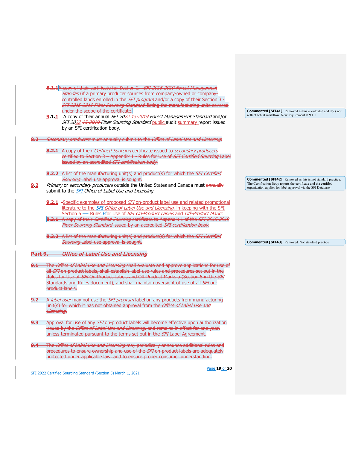|            |            | 8.1.1A copy of their certificate for Section 2 - SFI 2015-2019 Forest Management                       |  |                                                                     |  |
|------------|------------|--------------------------------------------------------------------------------------------------------|--|---------------------------------------------------------------------|--|
|            |            | Standard if a primary producer sources from company owned or company                                   |  |                                                                     |  |
|            |            | controlled lands enrolled in the SFI program and/or a copy of their Section 3                          |  |                                                                     |  |
|            |            | <b>SFI 2015 2019 Fiber Sourcing Standard listing the manufacturing units covered</b>                   |  |                                                                     |  |
|            |            | under the scope of the certificate.                                                                    |  | <b>Commented [SFI41]:</b> Removed as this is outdated and does not  |  |
|            |            |                                                                                                        |  | reflect actual workflow. New requirement at 9.1.1                   |  |
|            |            | 9.1.1 A copy of their annual SFI 2022 15 2019 Forest Management Standard and/or                        |  |                                                                     |  |
|            |            | SFI 2022 15-2019 Fiber Sourcing Standard public audit summary report issued                            |  |                                                                     |  |
|            |            | by an SFI certification body.                                                                          |  |                                                                     |  |
|            |            |                                                                                                        |  |                                                                     |  |
|            |            | Secondary producers must annually submit to the Office of Label Use and Licensing.                     |  |                                                                     |  |
|            |            |                                                                                                        |  |                                                                     |  |
|            |            | 8.2.1 A copy of their <i>Certified Sourcing</i> certificate issued to secondary producers              |  |                                                                     |  |
|            |            | certified to Section 3 - Appendix 1 - Rules for Use of SFI Certified Sourcing Label                    |  |                                                                     |  |
|            |            | issued by an accredited SFI certification body.                                                        |  |                                                                     |  |
|            |            |                                                                                                        |  |                                                                     |  |
|            |            | 8.2.2 A list of the manufacturing unit(s) and product(s) for which the SFI Certified                   |  |                                                                     |  |
|            |            | <b>Sourcing Label use approval is sought.</b>                                                          |  | <b>Commented [SFI42]:</b> Removed as this is not standard practice. |  |
| 9.2        |            | Primary or secondary producers outside the United States and Canada must annually                      |  | The Certification Body reports the certificate and the certified    |  |
|            |            | submit to the <b>SFI</b> Office of Label Use and Licensing.                                            |  | organization applies for label approval via the SFI Database.       |  |
|            |            |                                                                                                        |  |                                                                     |  |
|            |            | 9.2.1 -Specific examples of proposed SFI on-product label use and related promotional                  |  |                                                                     |  |
|            |            | literature to the SFI Office of Label Use and Licensing, in keeping with the SFI                       |  |                                                                     |  |
|            |            |                                                                                                        |  |                                                                     |  |
|            |            | Section 6 - Rules Ffor Use of SFI On-Product Labels and Off-Product Marks.                             |  |                                                                     |  |
|            |            | 8.3.1 A copy of their <i>Certified Sourcing</i> certificate to Appendix 1 of the SFI 2015 2019         |  |                                                                     |  |
|            |            | Fiber Sourcing Standard issued by an accredited SFI certification body.                                |  |                                                                     |  |
|            |            |                                                                                                        |  |                                                                     |  |
|            |            | 8.3.2 A list of the manufacturing unit(s) and product(s) for which the SFI Certified                   |  |                                                                     |  |
|            |            | <b>Sourcing Label use approval is sought.</b>                                                          |  | <b>Commented [SFI43]:</b> Removed. Not standard practice            |  |
|            |            |                                                                                                        |  |                                                                     |  |
| Part 9.    |            | <b>Office of Label Use and Licensing</b>                                                               |  |                                                                     |  |
|            |            |                                                                                                        |  |                                                                     |  |
| <u>9.1</u> |            | -The <i>Office of Label Use and Licensing</i> shall evaluate and approve applications for use of       |  |                                                                     |  |
|            |            | all SFI on product labels, shall establish label use rules and procedures set out in the               |  |                                                                     |  |
|            |            | Rules for Use of SFI On Product Labels and Off Product Marks a (Section 5 in the SFI                   |  |                                                                     |  |
|            |            | Standards and Rules document), and shall maintain oversight of use of all SFI on-                      |  |                                                                     |  |
|            |            | product labels.                                                                                        |  |                                                                     |  |
|            |            |                                                                                                        |  |                                                                     |  |
| <u>ج و</u> |            | A label user may not use the SFI program label on any products from manufacturing                      |  |                                                                     |  |
|            |            | unit(s) for which it has not obtained approval from the Office of Label Use and                        |  |                                                                     |  |
|            | Licensing. |                                                                                                        |  |                                                                     |  |
|            |            |                                                                                                        |  |                                                                     |  |
| 9.3        |            |                                                                                                        |  |                                                                     |  |
|            |            | Approval for use of any SFI on-product labels will become effective upon authorization                 |  |                                                                     |  |
|            |            | issued by the <i>Office of Label Use and Licensing</i> , and remains in effect for one year,           |  |                                                                     |  |
|            |            | unless terminated pursuant to the terms set out in the SFI Label Agreement.                            |  |                                                                     |  |
|            |            |                                                                                                        |  |                                                                     |  |
|            |            | <del>The <i>Office of Label Use and Licensing</i> may periodically announce additional rules and</del> |  |                                                                     |  |
|            |            | procedures to ensure ownership and use of the SFI on product labels are adequately                     |  |                                                                     |  |
|            |            | protected under applicable law, and to ensure proper consumer understanding.                           |  |                                                                     |  |
|            |            |                                                                                                        |  |                                                                     |  |
|            |            | Page 19 of 20                                                                                          |  |                                                                     |  |
|            |            | SFI 2022 Certified Sourcing Standard (Section 5) March 1, 2021                                         |  |                                                                     |  |